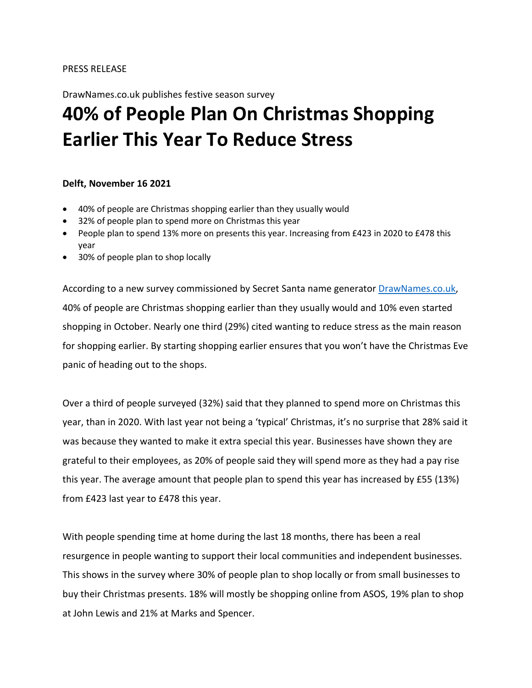DrawNames.co.uk publishes festive season survey

# **40% of People Plan On Christmas Shopping Earlier This Year To Reduce Stress**

#### **Delft, November 16 2021**

- 40% of people are Christmas shopping earlier than they usually would
- 32% of people plan to spend more on Christmas this year
- People plan to spend 13% more on presents this year. Increasing from £423 in 2020 to £478 this year
- 30% of people plan to shop locally

According to a new survey commissioned by Secret Santa name generator [DrawNames.co.uk,](http://www.drawnames.co.uk/) 40% of people are Christmas shopping earlier than they usually would and 10% even started shopping in October. Nearly one third (29%) cited wanting to reduce stress as the main reason for shopping earlier. By starting shopping earlier ensures that you won't have the Christmas Eve panic of heading out to the shops.

Over a third of people surveyed (32%) said that they planned to spend more on Christmas this year, than in 2020. With last year not being a 'typical' Christmas, it's no surprise that 28% said it was because they wanted to make it extra special this year. Businesses have shown they are grateful to their employees, as 20% of people said they will spend more as they had a pay rise this year. The average amount that people plan to spend this year has increased by £55 (13%) from £423 last year to £478 this year.

With people spending time at home during the last 18 months, there has been a real resurgence in people wanting to support their local communities and independent businesses. This shows in the survey where 30% of people plan to shop locally or from small businesses to buy their Christmas presents. 18% will mostly be shopping online from ASOS, 19% plan to shop at John Lewis and 21% at Marks and Spencer.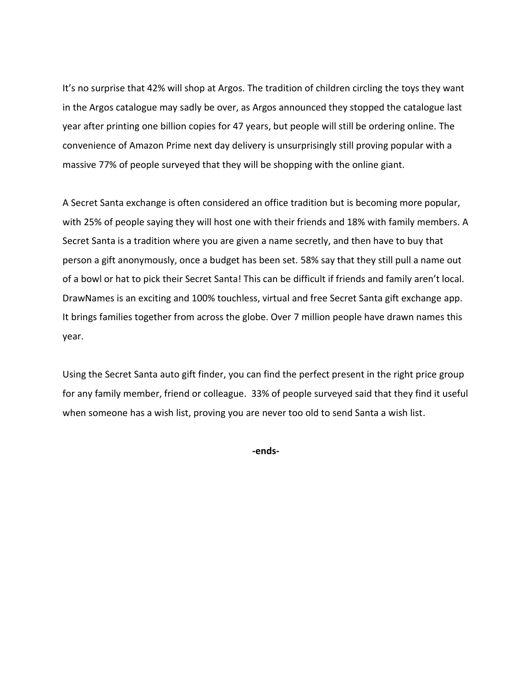It's no surprise that 42% will shop at Argos. The tradition of children circling the toys they want in the Argos catalogue may sadly be over, as Argos announced they stopped the catalogue last year after printing one billion copies for 47 years, but people will still be ordering online. The convenience of Amazon Prime next day delivery is unsurprisingly still proving popular with a massive 77% of people surveyed that they will be shopping with the online giant.

A Secret Santa exchange is often considered an office tradition but is becoming more popular, with 25% of people saying they will host one with their friends and 18% with family members. A Secret Santa is a tradition where you are given a name secretly, and then have to buy that person a gift anonymously, once a budget has been set. 58% say that they still pull a name out of a bowl or hat to pick their Secret Santa! This can be difficult if friends and family aren't local. DrawNames is an exciting and 100% touchless, virtual and free Secret Santa gift exchange app. It brings families together from across the globe. Over 7 million people have drawn names this year.

Using the Secret Santa auto gift finder, you can find the perfect present in the right price group for any family member, friend or colleague. 33% of people surveyed said that they find it useful when someone has a wish list, proving you are never too old to send Santa a wish list.

**-ends-**